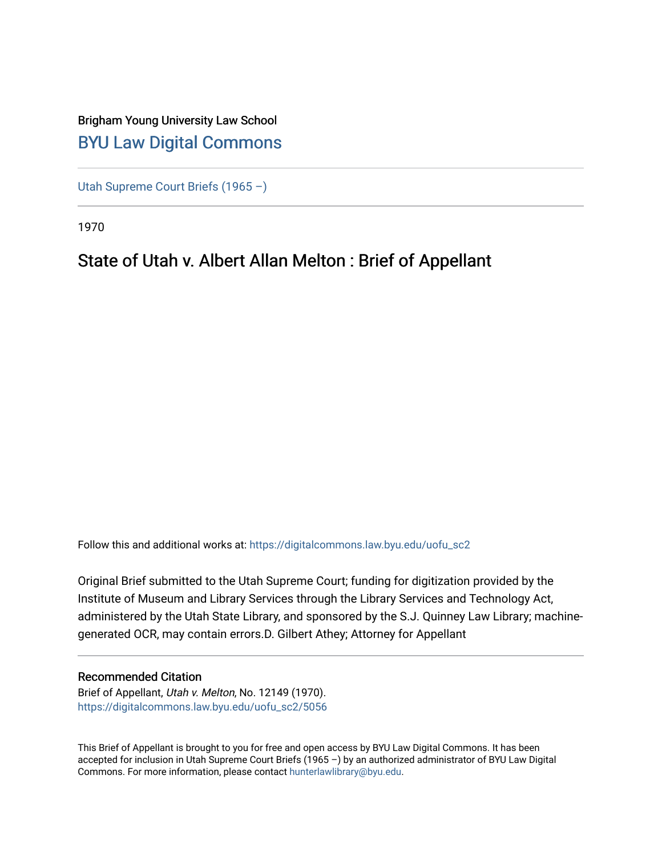### Brigham Young University Law School [BYU Law Digital Commons](https://digitalcommons.law.byu.edu/)

[Utah Supreme Court Briefs \(1965 –\)](https://digitalcommons.law.byu.edu/uofu_sc2)

1970

### State of Utah v. Albert Allan Melton : Brief of Appellant

Follow this and additional works at: [https://digitalcommons.law.byu.edu/uofu\\_sc2](https://digitalcommons.law.byu.edu/uofu_sc2?utm_source=digitalcommons.law.byu.edu%2Fuofu_sc2%2F5056&utm_medium=PDF&utm_campaign=PDFCoverPages)

Original Brief submitted to the Utah Supreme Court; funding for digitization provided by the Institute of Museum and Library Services through the Library Services and Technology Act, administered by the Utah State Library, and sponsored by the S.J. Quinney Law Library; machinegenerated OCR, may contain errors.D. Gilbert Athey; Attorney for Appellant

#### Recommended Citation

Brief of Appellant, Utah v. Melton, No. 12149 (1970). [https://digitalcommons.law.byu.edu/uofu\\_sc2/5056](https://digitalcommons.law.byu.edu/uofu_sc2/5056?utm_source=digitalcommons.law.byu.edu%2Fuofu_sc2%2F5056&utm_medium=PDF&utm_campaign=PDFCoverPages) 

This Brief of Appellant is brought to you for free and open access by BYU Law Digital Commons. It has been accepted for inclusion in Utah Supreme Court Briefs (1965 –) by an authorized administrator of BYU Law Digital Commons. For more information, please contact [hunterlawlibrary@byu.edu](mailto:hunterlawlibrary@byu.edu).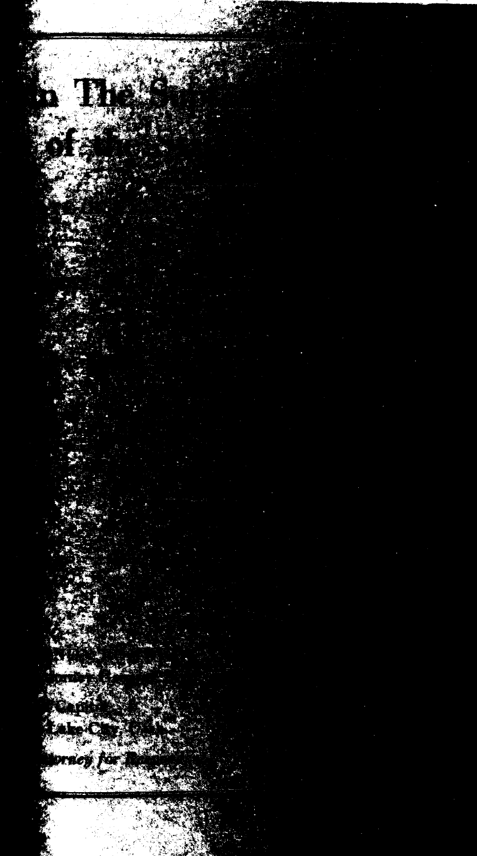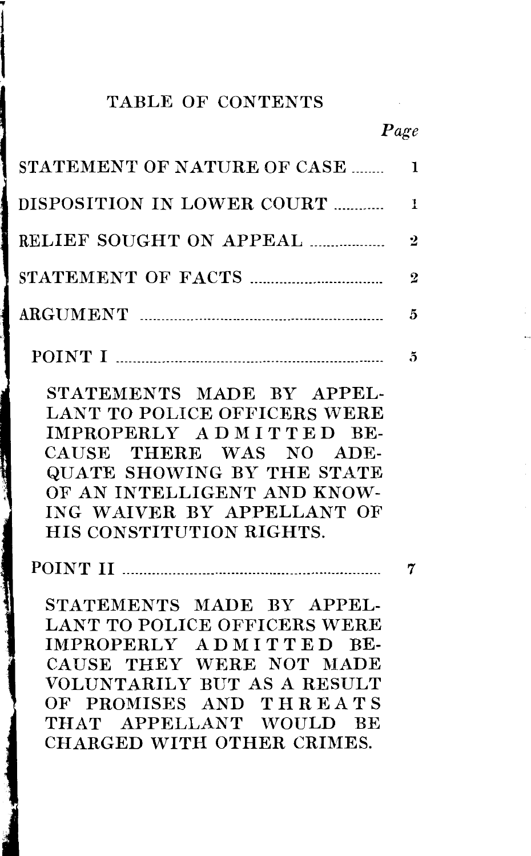### TABLE OF CONTENTS

 $\mathbf{1}$ 

'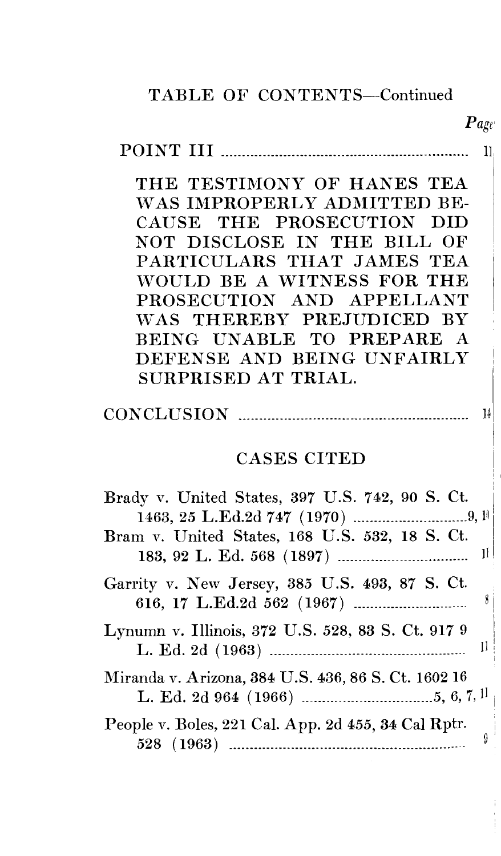### TABLE OF CONTENTS-Continued

#### $\tt POINT III$   $\tt....$  $11.$

*Page'* 

THE TESTIMONY OF HANES TEA WAS IMPROPERLY ADMITTED BE-CAUSE THE PROSECUTION DID NOT DISCLOSE IN THE BILL OF PARTICULARS THAT JAMES TEA WOULD BE A WITNESS FOR THE PROSECUTION AND APPELLANT WAS THEREBY PREJUDICED BY BEING UNABLE TO PREPARE A DEFENSE AND BEING UNFAIRLY SURPRISED AT TRIAL.

### $CONCLUSION$   $\cdots$   $\cdots$   $\cdots$   $\cdots$   $\cdots$   $\cdots$   $\cdots$   $\cdots$   $\cdots$   $\cdots$   $\cdots$   $\cdots$   $\cdots$

### CASES CITED

| Brady v. United States, 397 U.S. 742, 90 S. Ct.     |
|-----------------------------------------------------|
| Bram v. United States, 168 U.S. 532, 18 S. Ct.      |
| Garrity v. New Jersey, 385 U.S. 493, 87 S. Ct.<br>8 |
| Lynumn v. Illinois, 372 U.S. 528, 83 S. Ct. 917 9   |
| Miranda v. Arizona, 384 U.S. 436, 86 S. Ct. 1602 16 |
| People v. Boles, 221 Cal. App. 2d 455, 34 Cal Rptr. |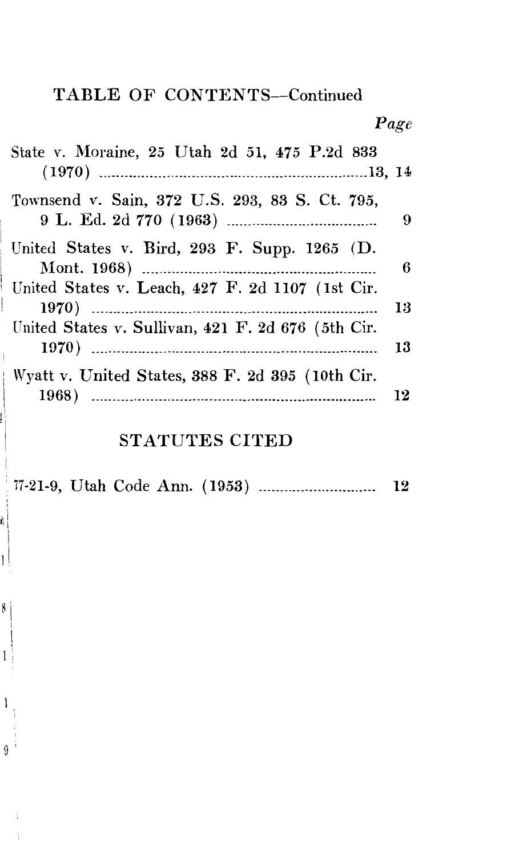### TABLE OF CONTENTS-Continued

*Page* 

| State v. Moraine, 25 Utah 2d 51, 475 P.2d 833                                                      |          |
|----------------------------------------------------------------------------------------------------|----------|
| Townsend v. Sain, 372 U.S. 293, 83 S. Ct. 795,                                                     | 9        |
| United States v. Bird, 293 F. Supp. $1265$ (D.<br>United States v. Leach, 427 F. 2d 1107 (1st Cir. | 6        |
| United States v. Sullivan, 421 F. 2d 676 (5th Cir.                                                 | 13<br>13 |
| Wyatt v. United States, 388 F. 2d 395 (10th Cir.<br>1968)                                          | 12       |

### STATUTES CITED

77-21-9, Utah Code Ann. (1953) ······························ 12

1 I

 $\mathbf{1}$ 

i) |<br>|

 $\overline{1}$ 

8

 $\overline{9}$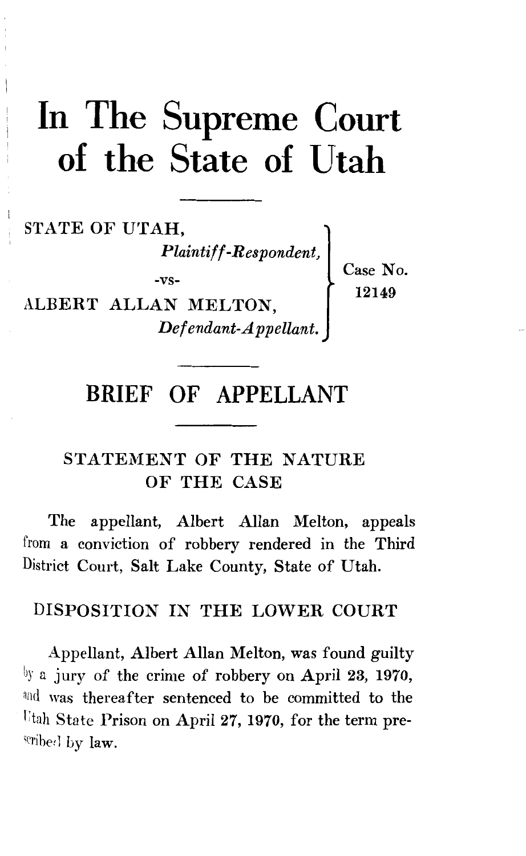# In The Supreme Court of the State of Utah

STATE OF UTAH, *Plaintiff-Respondent,*  -vs-ALBERT ALLAN MELTON, *Defendant-Appellant.*  Case No. 12149

### **BRIEF OF APPELLANT**

### STATEMENT OF THE NATURE OF THE CASE

The appellant, Albert Allan Melton, appeals from a conviction of robbery rendered in the Third District Court, Salt Lake County, State of Utah.

### DISPOSITION IN THE LOWER COURT

Appellant, Albert Allan Melton, was found guilty by a jury of the crime of robbery on April 23, 1970, and was thereafter sentenced to be committed to the Utah State Prison on April 27, 1970, for the term prescribed by  $law$ .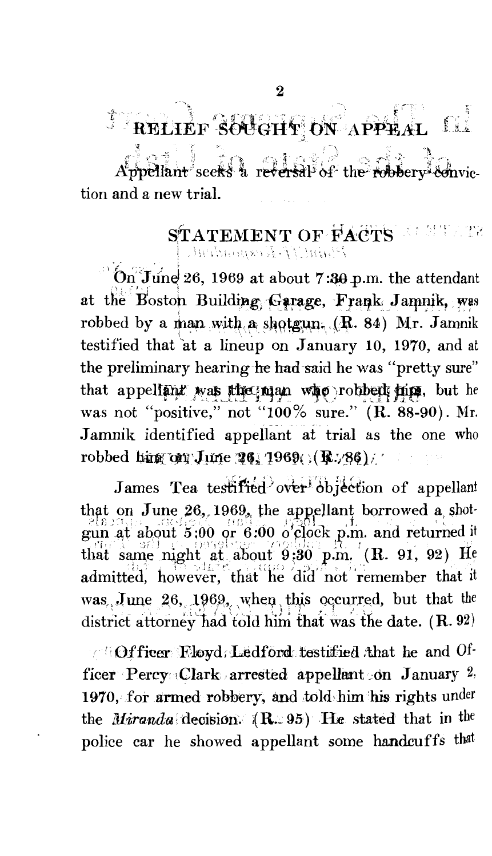#### $^\circ$ RELIEF SOUGHT ON  $^\circ$ . ., ,,' .. t\_\1 \_\_ 2:\_

*,.-;-!;'* ;, •', '.i -. ,:.-) '-\ ... secks a reversal of the; tion and a new trial.

### $\operatorname{\bf STATEMENT}$  OF  $\operatorname{\bf FACTS}$  ,  $\in$  211 *!* ... \:.. \-.", \' '., "· *"i.* \ \_.;:;.\_ ,. '\ "·' ' , -- •,

. ---.. ,·\_ \---: ·.

 $\overline{\text{On}}$  June 26, 1969 at about 7:30 p.m. the attendant at the Boston Building Garage, Frank Jamnik, was robbed by a man with a shotgun.  $(R. 84)$  Mr. Jamnik testified that at a lineup on January 10, 1970, and at the preliminary hearing he had-said he was "pretty sure" that appellant was the man who robbed him. but he was not "positive," not "100% sure." (R. 88-90). Mr. Jamnik identified appellant at trial as the one who robbed him on June 26, 1969()(R./86)/

James Tea testified over objection of appellant that on June  $26$ , 1969, the appellant borrowed a shot $g_{\text{un}}^{\text{215-13}}$ , at about  $5:00$  or  $6:00$  o clock p.m. and returned it that same night at about  $9:30$  p.m.  $(R. 91, 92)$  He admitted, however, that he did not remember that it was. June 26, 1969, when this occurred, but that the district attorney had told him that was the date. (R. 92)

**1: Officer Eloyd; Ledford testitied that he and Of**ficer Percy Clark arrested appellant on January 2, 1970, for armed robbery, and told him his rights under the *Miranda* decision. (R. 95) He stated that in the police car he showed appellant some handcuffs that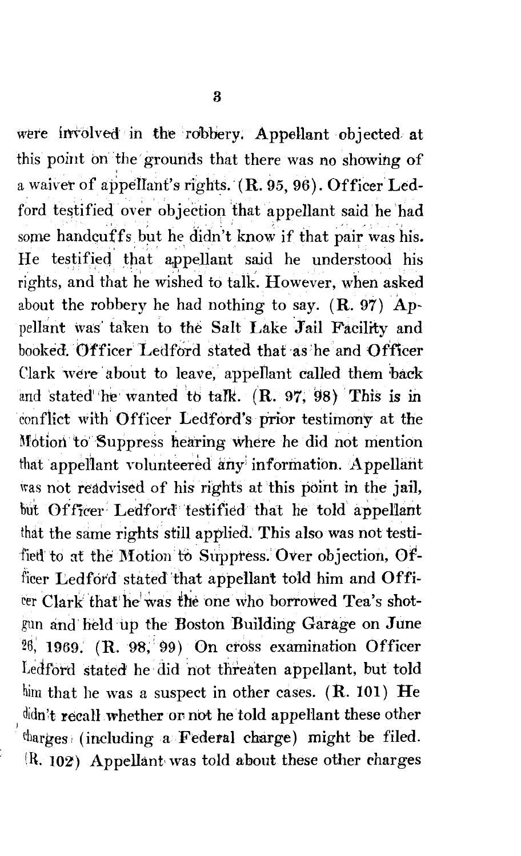were involved in the robbery. Appellant objected at this point on the grounds that there was no showing of a waiver of appellant's rights.  $(R. 95, 96)$ . Officer Ledford testified over objection that appellant said he had some handcuffs but he didn't know if that pair was his. He testified that appellant said he understood his rights, and that he wished to talk. However, when asked about the robbery he had nothing to say.  $(R. 97)$  Appellant was taken to the Salt Lake Jail Facility and booked. Officer Ledford stated that as he and Officer Clark were about to leave, appellant called them back and stated he wanted to talk.  $(R. 97, 98)$  This is in conflict with Officer Ledford's prior testimony at the Motion to Suppress hearing where he did not mention that appellant volunteered any information. Appellant was not readvised of his rights at this point in the jail, but Officer Ledford testified that he told appellant that the same rights still applied. This also was not testi fied to at the Motion to Suppress. Over objection, Officer Ledford stated that appellant told him and Offirer Clark that he was the one who borrowed Tea's shotgun and held up the Boston Building Garage on June 26, 1969. (R. 98, 99) On cross examination Officer Ledford stated he did not threaten appellant, but told him that he was a suspect in other cases.  $(R. 101)$  He didn't recall whether or not he told appellant these other charges (including a Federal charge) might be filed. \R. IOZ) Appellant- was told about these other charges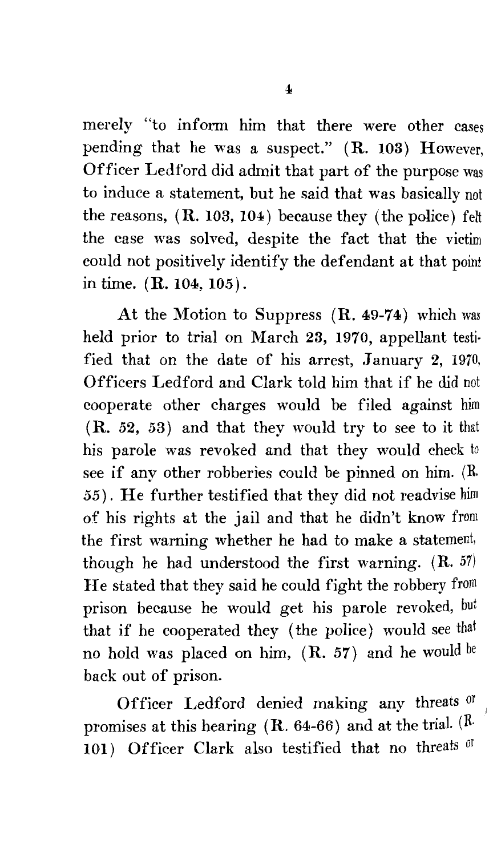merely "to inform him that there were other cases pending that he was a suspect." (R. 103) However, Officer Ledford did admit that part of the purpose was to induce a statement, but he said that was basically not the reasons,  $(R. 103, 104)$  because they (the police) felt the case was solved, despite the fact that the victim could not positively identify the defendant at that point in time. (R. 104, 105).

At the Motion to Suppress (R. 49-74) which was held prior to trial on March 23, 1970, appellant testi· fied that on the date of his arrest, January 2, 1970, Officers Ledford and Clark told him that if he did not cooperate other charges would be filed against him (R. 52, 53) and that they would try to see to it that his parole was revoked and that they would check to see if any other robberies could be pinned on him. (R. 55). He further testified that they did not readvise him of his rights at the jail and that he didn't know from the first warning whether he had to make a statement, though he had understood the first warning.  $(R. 57)$ He stated that they said he could fight the robbery from prison because he would get his parole revoked, but that if he cooperated they (the police) would see that no hold was placed on him,  $(R. 57)$  and he would be back out of prison.

Officer Ledford denied making any threats or promises at this hearing  $(R. 64-66)$  and at the trial.  $(R<sup>2</sup>$ 101) Officer Clark also testified that no threats of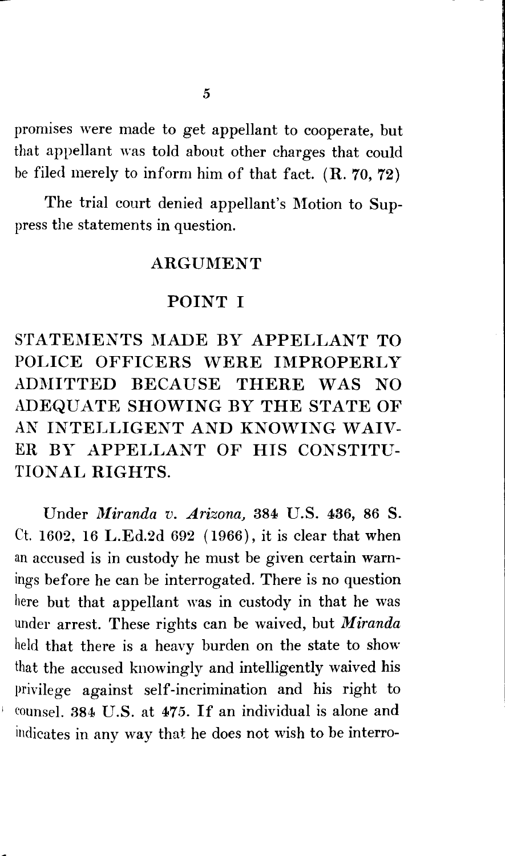promises were made to get appellant to cooperate, but that appellant was told about other charges that could be filed merely to inform him of that fact.  $(R. 70, 72)$ 

The trial court denied appellant's Motion to Suppress the statements in question.

### **ARGUMENT**

### POINT I

STATEMENTS MADE BY APPELLANT TO POLICE OFFICERS WERE IMPROPERLY ADMITTED BECAUSE THERE WAS NO ADEQUATE SHOWING BY THE STATE OF AN INTELLIGENT AND KNOWING WAIV-ER BY APPELLANT OF HIS CONSTITU-TION AL RIGHTS.

Under *Miranda v. Arizona*, 384 U.S. 436, 86 S. Ct. 1602, 16 L.Ed.2d 692 ( 1966), it is clear that when an accused is in custody he must be given certain warnings before he can be interrogated. There is no question here but that appellant was in custody in that he was under arrest. These rights can be waived, but *Miranda*  held that there is a heavy burden on the state to show that the accused knowingly and intelligently waived his privilege against self-incrimination and his right to counsel. 384 U.S. at 475. If an individual is alone and indicates in any way that he does not wish to be interro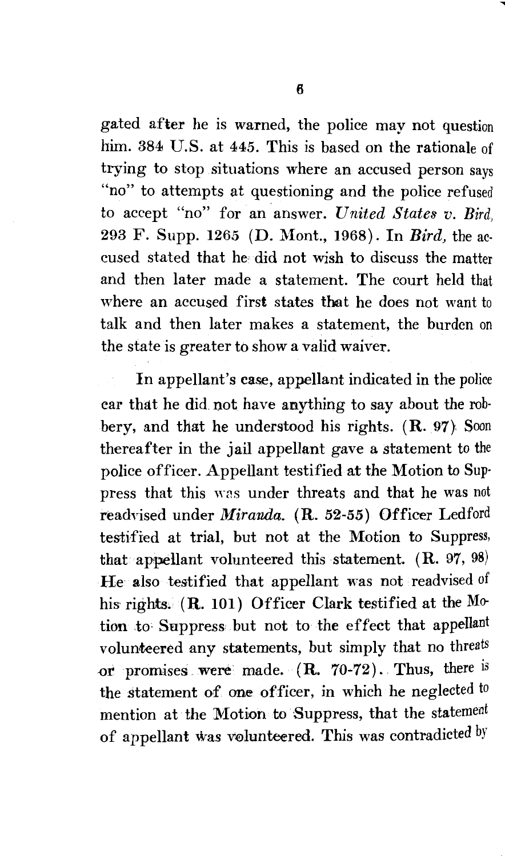gated after he is warned, the police may not question him. 384 U.S. at 445. This is based on the rationale of trying to stop situations where an accused person says "no" to attempts at questioning and the police refused to accept "no" for an answer. *United States v. Bird,*  293 F. Supp. 1265 (D. Mont., 1968). In *Bird*, the accused stated that he did not wish to discuss the matter and then later made a statement. The court held that where an accused first states that he does not want to talk and then later makes a statement, the burden on the state is greater to show a valid waiver.

In appellant's case, appellant indicated in the police ear that he did. not have anything to say about the robbery, and that he understood his rights. (R. 97} Soon thereafter in the jail appellant gave a statement to the police officer. Appellant testified at the Motion to Sup· press that this was under threats and that he was not readvised under *Miranda.* (R. 52-55) Officer Ledford testified at trial, but not at the Motion to Suppress, that appellant volunteered this statement. (R. 97, 98) He also testified that appellant was not readvised of his rights.  $(R. 101)$  Officer Clark testified at the Motion to: Suppress but not to the effect that appellant volunteered any statements, but simply that no threats or promises were made.  $(R. 70-72)$ . Thus, there is the statement of one officer, in which he neglected to mention at the Motion to Suppress, that the statement of appellant was volunteered. This was contradicted by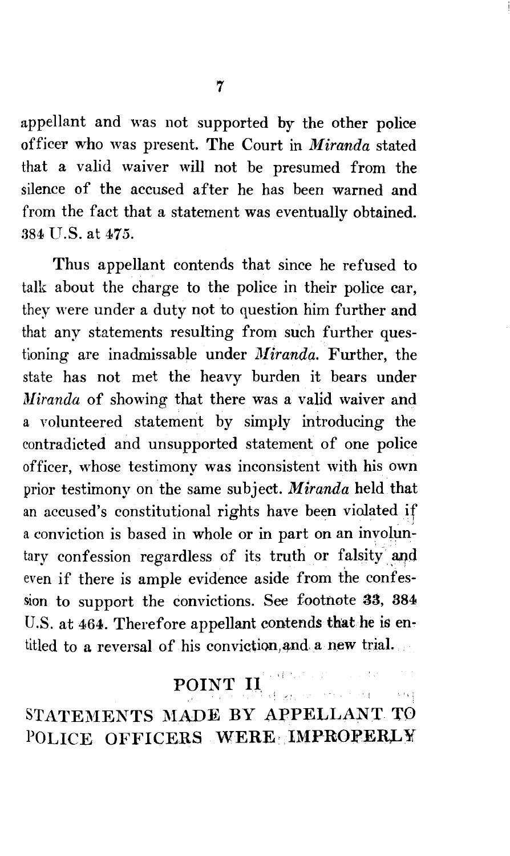appellant and was not supported by the other police officer who was present. The Court in *Miranda* stated that a valid waiver will not be presumed from the silence of the accused after he has been warned and from the fact that a statement was eventually obtained. 384 U.S. at 475.

Thus appellant contends that since he refused to talk about the charge to the police in their police car, they were under a duty not to question him further and that any statements resulting from such further questioning are inadmissable under *Miranda*. Further, the state has not met the heavy burden it bears under *Miranda* of showing that there was a valid waiver and a volunteered statement by simply introducing the contradicted and unsupported statement of one police officer, whose testimony was inconsistent with his own prior testimony on the same subject. *Miranda* held that an accused's constitutional rights have been violated if a conviction is based in whole or in part on an involuntary confession regardless of its truth or falsity and  $\lim_{h \to 0}$ even if there is ample evidence aside from the confession to support the convictions. See footnote 33, 384 U.S. at 464. Therefore appellant contends that he is entitled to a reversal of his conviction, and a new trial.

## POINT II.

server with

STATEMENTS MADE BY APPELLANT TO POLICE OFFICERS WERE: IMPROPERLY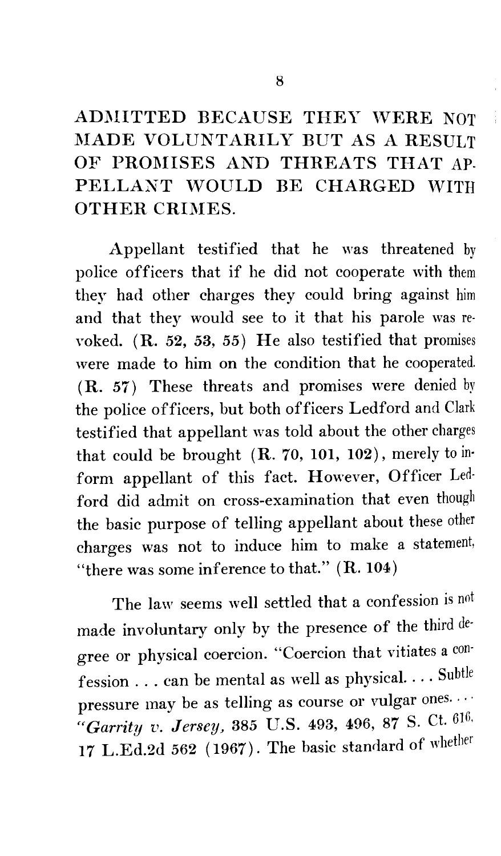ADMITTED BECAUSE THEY WERE NOT l\IADE VOLUNTARILY BUT AS *A* RESULT OF PROMISES AND THREATS THAT AP-PELLANT WOULD BE CHARGED WITH OTHER CRIMES.

Appellant testified that he was threatened by police officers that if he did not cooperate with them they had other charges they could bring against him and that they would see to it that his parole was revoked. ( R. 52, 53, 55) He also testified that promises were made to him on the condition that he cooperated. (R. 57) These threats and promises were denied by the police officers, but both officers Ledford and Clark testified that appellant was told about the other charges that could be brought  $(R. 70, 101, 102)$ , merely to inform appellant of this fact. However, Officer Ledford did admit on cross-examination that even though the basic purpose of telling appellant about these other charges was not to induce him to make a statement, "there was some inference to that." ( R. 104)

The law seems well settled that a confession is not made involuntary only by the presence of the third degree or physical coercion. "Coercion that vitiates a confession ... can be mental as well as physical .... Subtle pressure may be as telling as course or vulgar ones... *"Garrity v. Jersey,* 385 U.S. 493, 496, 87 S. Ct. 616. 17 L.Ed.2d 562 (1967). The basic standard of whether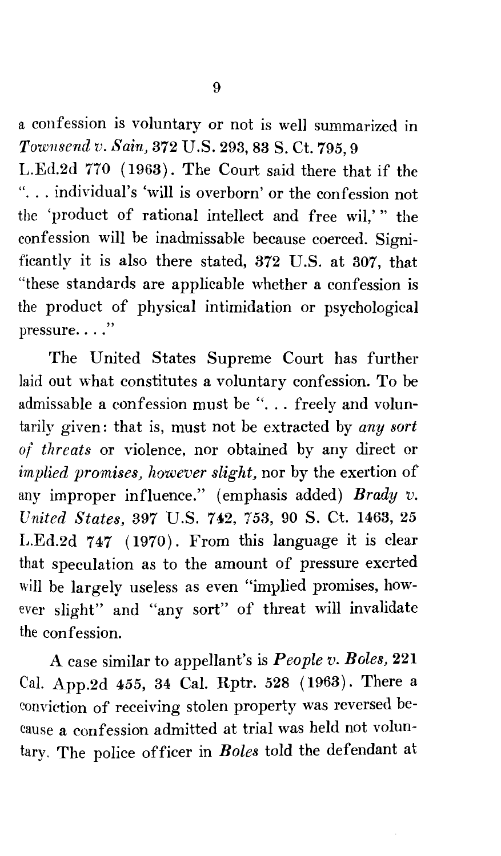a confession is voluntary or not is well summarized in *Townsend v. Sain,* 372 U.S. 293, 83 S. Ct. 795, 9

L.Ed.2d 770 (1963). The Court said there that if the "... individual's 'will is overborn' or the confession not the 'product of rational intellect and free wil,'" the confession will be inadmissable because coerced. Significantly it is also there stated, 372 U.S. at 307, that "these standards are applicable whether a confession is the product of physical intimidation or psychological  $presure. . . ."$ 

The United States Supreme Court has further laid out what constitutes a voluntary confession. To be admissable a confession must be "... freely and voluntarily given: that is, must not be extracted by *any sort of threats* or violence, nor obtained by any direct or *implied promises, however slight,* nor by the exertion of any improper influence." (emphasis added) *Brady v. United States,* 897 U.S. 742, 753, 90 S. Ct. 1463, 25 L.Ed.2d 747 (1970). From this language it is clear that speculation as to the amount of pressure exerted will be largely useless as even "implied promises, however slight" and "any sort" of threat will invalidate the confession.

A case similar to appellant's is *People v. Boles,* 221 Cal. App.2d 455, 34 Cal. Rptr. 528 ( 1963). There a conviction of receiving stolen property was reversed because a confession admitted at trial was held not voluntary. The police officer in *Boles* told the defendant at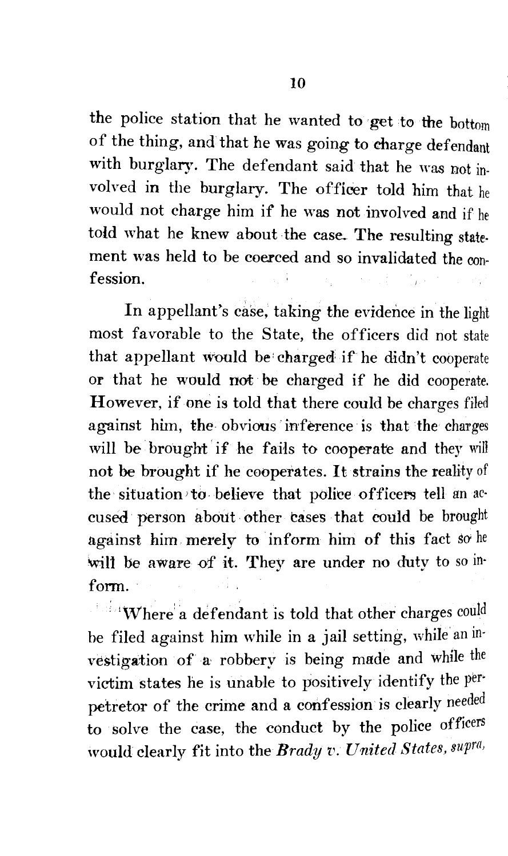the police station that he wanted to get to the bottom of the thing, and that he was going to charge defendant with burglary. The defendant said that he was not involved in the burglary. The offieer told him that he would not charge him if he was not involved and if he told what he knew about the case. The resulting statement was held to be coerced and so invalidated the confession.

In appellant's case, taking the evidence in the light most favorable to the State, the officers did not state that appellant would be charged if he didn't cooperate or that he would not be charged if he did cooperate. However, if one is told that there could be charges filed against him, the obvious inference is that the charges will be brought if he fails to cooperate and they will not be brought if he cooperates. It strains the reality of the situation to believe that police officers tell an accused person about other cases that could be brought against him merely to inform him of this fact so he will be aware of it. They are under no duty to so inform.

 $\mathbf{W}$ here a defendant is told that other charges could be filed against him while in a jail setting, while' an investigation of a robbery is being made and while the victim states he is unable to positively identify the per· petretor of the crime and a confession is clearly needed to solve the case, the conduct by the police officers would clearly fit into the *Brady v. United States, supra,*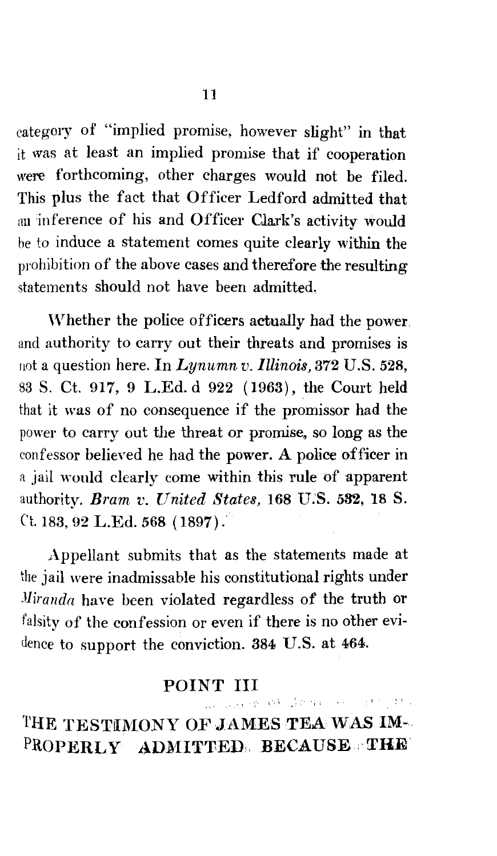category of "implied promise, however slight" in that it was at least an implied promise that if cooperation were forthcoming, other charges would not be filed. This plus the fact that Officer Ledford admitted that an inference of his and Officer Clark's activity would be to induce a statement comes quite clearly within the prohibition of the above cases and therefore the resulting statements should not have been admitted.

Whether the police officers actually had the power and authority to carry out their threats and promises is not a question here. In *Lynumn v. Illinois,* 372 U.S. 528, 83 S. Ct. 917, 9 L.Ed. d 922 ( 1963), the Court held that it was of no consequence if the promissor had the power to carry out the threat or promise. so long as the confessor believed he had the power. A police officer in a jail would clearly come within this rule of apparent authority. *Bram v. United States,* 168 U.'S. 582, 18 S. Ct. 183, 92 L.Ed. 568 ( 1897) .'

Appellant submits that as the statements made at the jail were inadmissable his constitutional rights under *Jliranda* have been violated regardless of the truth or falsity of the confession or even if there is no other evidence to support the conviction. 884 U.S. at 464.

### POINT III , where  $60$   $\pm$   $00$   $\pm$   $00$   $\pm$   $00$   $\pm$

THE TESTIMONY OF JAMES TEA WAS IM- $\texttt{PROPRERLY}$   $\texttt{ADMITRED}$ ,  $\texttt{BECAUSE}$  :  $\texttt{THE}$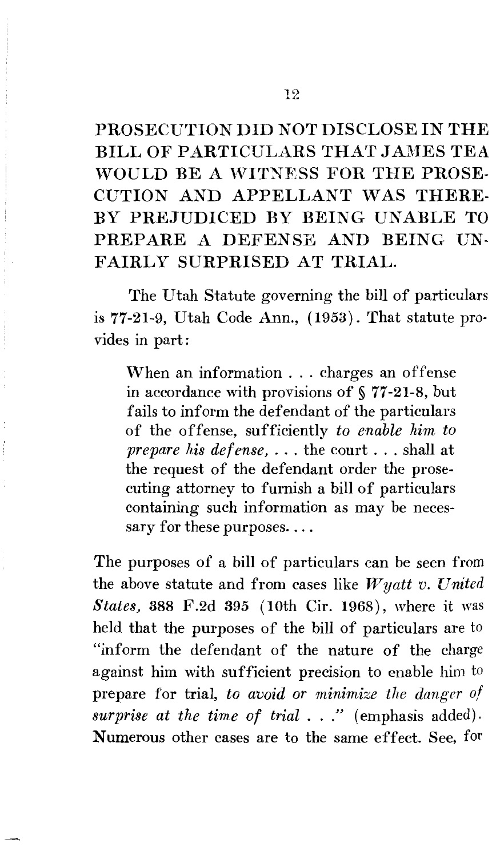PROSECUTION DID NOT DISCLOSE IN THE BILL OF PARTICULARS THAT JAMES TEA WOULD BE A WITNESS FOR THE PROSE-CUTION AND APPELLANT WAS THERE-BY PREJUDICED BY BEING UNABLE TO PREPARE A DEFENSE AND BEING UN-FAIRLY SURPRISED AT TRIAL.

The Utah Statute governing the bill of particulars is 77-21-9, Utah Code Ann., (1953). That statute provides in part:

When an information ... charges an offense in accordance with provisions of§ 77-21-8, but fails to inform the defendant of the particulars of the offense, sufficiently *to enable him to prepare his defense,* ... the court ... shall at the request of the defendant order the prosecuting attorney to furnish a bill of particulars containing such information as may be necessary for these purposes....

The purposes of a bill of particulars can be seen from the above statute and from cases like  $W$ *yatt v. United States,* 388 F.2d 395 (10th Cir. 1968), where it was held that the purposes of the bill of particulars are to "inform the defendant of the nature of the charge against him with sufficient precision to enable him to prepare for trial, *to avoid or minimize the danger of* surprise at the time of trial . . ." (emphasis added). Numerous other cases are to the same effect. See, for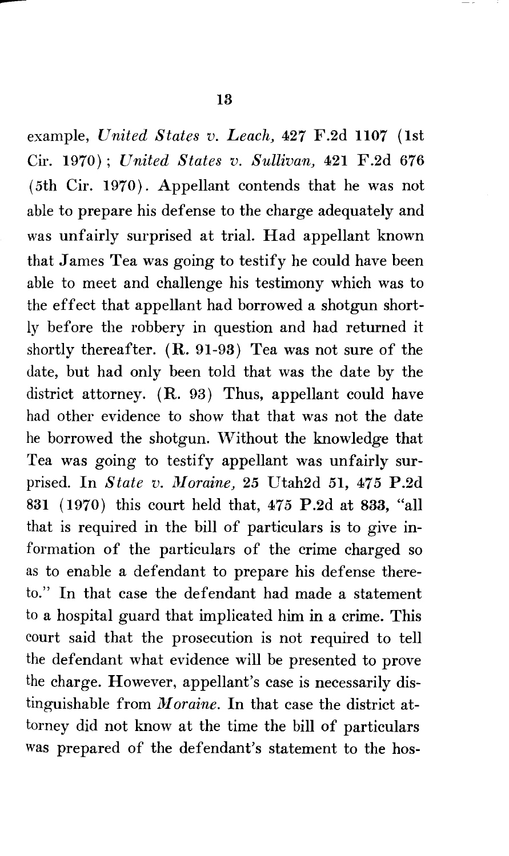example, *United States v. Leach,* 427 F.2d 1107 (1st Cir. 1970); *United States v. Sullivan,* 421 F.2d 676 (5th Cir. 1970). Appellant contends that he was not able to prepare his defense to the charge adequately and was unfairly surprised at trial. Had appellant known that James Tea was going to testify he could have been able to meet and challenge his testimony which was to the effect that appellant had borrowed a shotgun shortly before the robbery in question and had returned it shortly thereafter. (R. 91-93) Tea was not sure of the date, but had only been told that was the date by the district attorney. (R. 93) Thus, appellant could have had other evidence to show that that was not the date he borrowed the shotgun. Without the knowledge that Tea was going to testify appellant was unfairly surprised. In *State v. lUoraine,* 25 Utah2d 51, 475 P.2d 831 (1970) this court held that, 475 P.2d at 833, "all that is required in the bill of particulars is to give information of the particulars of the crime charged so as to enable a defendant to prepare his defense thereto." In that case the defendant had made a statement to a hospital guard that implicated him in a crime. This court said that the prosecution is not required to tell the defendant what evidence will be presented to prove the charge. However, appellant's case is necessarily distinguishable from *Moraine*. In that case the district attorney did not know at the time the bill of particulars was prepared of the defendant's statement to the hos